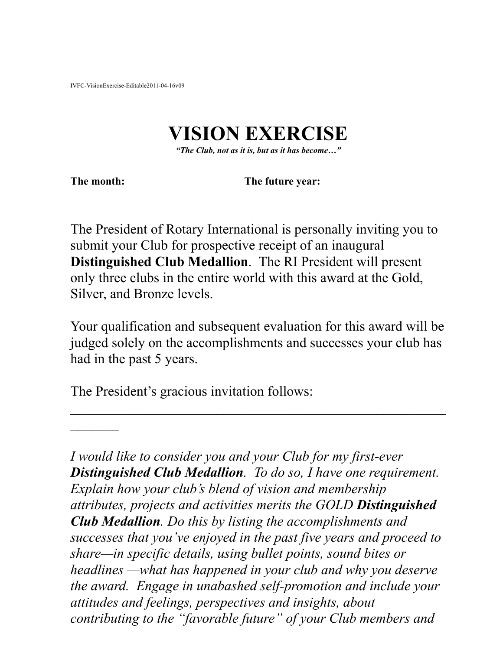## **VISION EXERCISE**

*"The Club, not as it is, but as it has become…"*

**The month: The future year:** 

The President of Rotary International is personally inviting you to submit your Club for prospective receipt of an inaugural **Distinguished Club Medallion**. The RI President will present only three clubs in the entire world with this award at the Gold, Silver, and Bronze levels.

Your qualification and subsequent evaluation for this award will be judged solely on the accomplishments and successes your club has had in the past 5 years.

 $\mathcal{L}_\text{max}$  and  $\mathcal{L}_\text{max}$  and  $\mathcal{L}_\text{max}$  and  $\mathcal{L}_\text{max}$  and  $\mathcal{L}_\text{max}$  and  $\mathcal{L}_\text{max}$ 

The President's gracious invitation follows:

*I would like to consider you and your Club for my first-ever Distinguished Club Medallion. To do so, I have one requirement. Explain how your club's blend of vision and membership attributes, projects and activities merits the GOLD Distinguished Club Medallion. Do this by listing the accomplishments and successes that you've enjoyed in the past five years and proceed to share—in specific details, using bullet points, sound bites or headlines —what has happened in your club and why you deserve the award. Engage in unabashed self-promotion and include your attitudes and feelings, perspectives and insights, about contributing to the "favorable future" of your Club members and*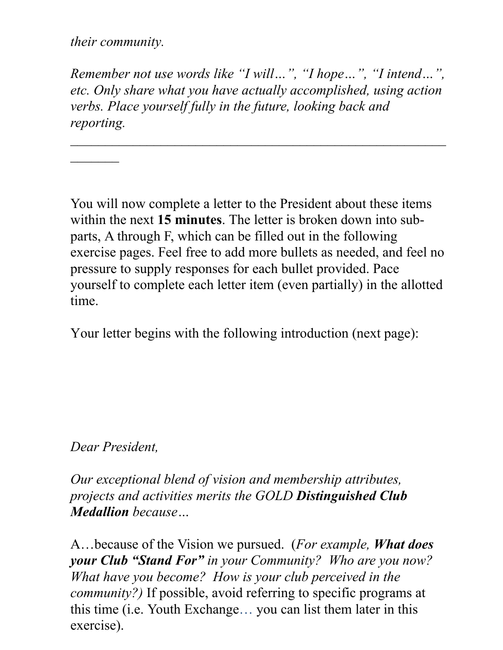*their community.*

 $\overline{\phantom{a}}$ 

*Remember not use words like "I will…", "I hope…", "I intend…", etc. Only share what you have actually accomplished, using action verbs. Place yourself fully in the future, looking back and reporting.*

You will now complete a letter to the President about these items within the next **15 minutes**. The letter is broken down into subparts, A through F, which can be filled out in the following exercise pages. Feel free to add more bullets as needed, and feel no pressure to supply responses for each bullet provided. Pace yourself to complete each letter item (even partially) in the allotted time.

Your letter begins with the following introduction (next page):

## *Dear President,*

*Our exceptional blend of vision and membership attributes, projects and activities merits the GOLD Distinguished Club Medallion because…*

A…because of the Vision we pursued. (*For example, What does your Club "Stand For" in your Community? Who are you now? What have you become? How is your club perceived in the community?)* If possible, avoid referring to specific programs at this time (i.e. Youth Exchange… you can list them later in this exercise).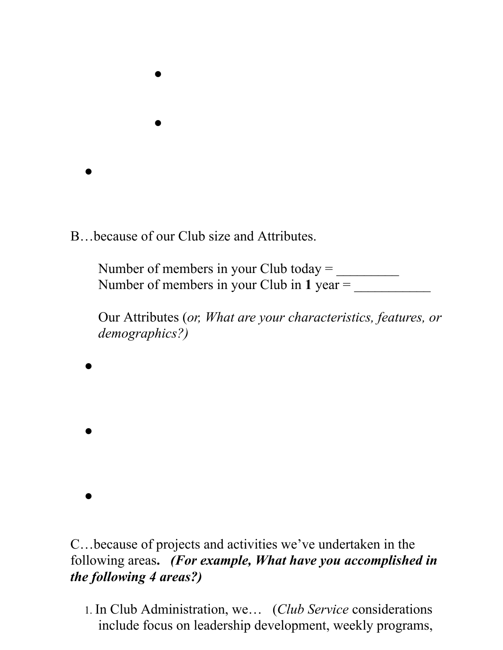B…because of our Club size and Attributes.

 $\bullet$ 

 $\bullet$ 

 $\bullet$ 

 $\bullet$ 

 $\bullet$ 

 $\bullet$ 

Number of members in your Club today  $=$ Number of members in your Club in  $1$  year  $=$ 

Our Attributes (*or, What are your characteristics, features, or demographics?)*

C…because of projects and activities we've undertaken in the following areas**.** *(For example, What have you accomplished in the following 4 areas?)*

1. In Club Administration, we… (*Club Service* considerations include focus on leadership development, weekly programs,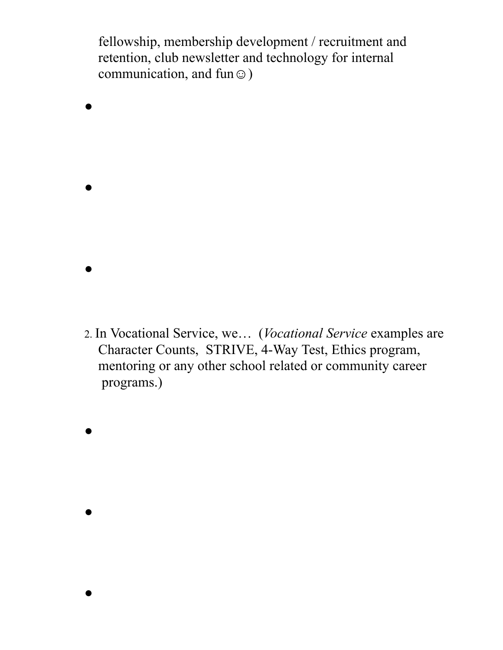fellowship, membership development / recruitment and retention, club newsletter and technology for internal communication, and fun $\odot$ )

- $\bullet$  $\bullet$  $\bullet$
- 2. In Vocational Service, we… (*Vocational Service* examples are Character Counts, STRIVE, 4-Way Test, Ethics program, mentoring or any other school related or community career programs.)
- $\bullet$

 $\bullet$ 

 $\bullet$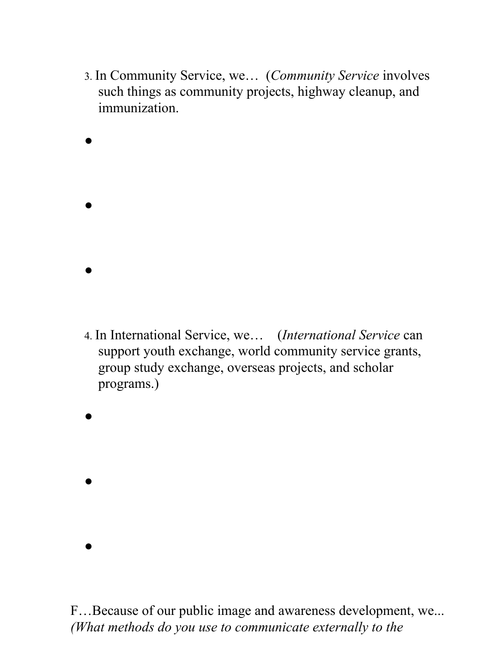3. In Community Service, we… (*Community Service* involves such things as community projects, highway cleanup, and immunization.

- $\bullet$ 4. In International Service, we… (*International Service* can support youth exchange, world community service grants, group study exchange, overseas projects, and scholar
	- programs.)
- $\bullet$

 $\bullet$ 

 $\bullet$ 

 $\bullet$ 

 $\bullet$ 

F…Because of our public image and awareness development, we... *(What methods do you use to communicate externally to the*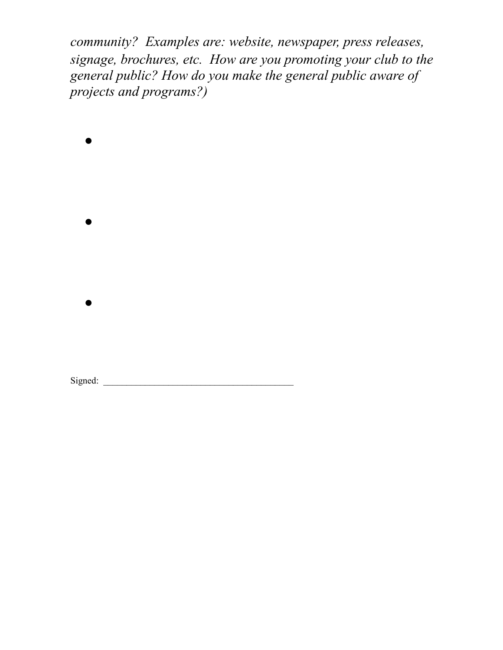*community? Examples are: website, newspaper, press releases, signage, brochures, etc. How are you promoting your club to the general public? How do you make the general public aware of projects and programs?)*

 $\bullet$  $\bullet$  $\bullet$ 

Signed: \_\_\_\_\_\_\_\_\_\_\_\_\_\_\_\_\_\_\_\_\_\_\_\_\_\_\_\_\_\_\_\_\_\_\_\_\_\_\_\_\_